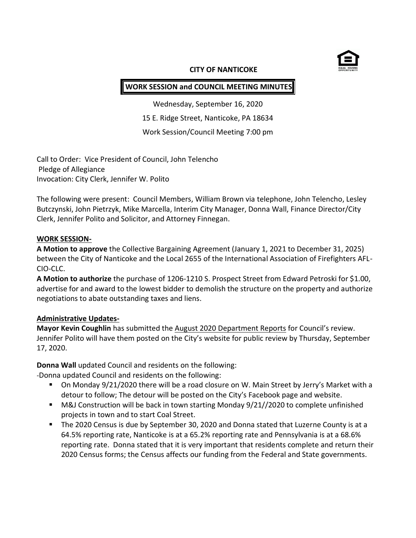

#### **CITY OF NANTICOKE**

# **WORK SESSION and COUNCIL MEETING MINUTES**

Wednesday, September 16, 2020 15 E. Ridge Street, Nanticoke, PA 18634 Work Session/Council Meeting 7:00 pm

Call to Order: Vice President of Council, John Telencho Pledge of Allegiance Invocation: City Clerk, Jennifer W. Polito

The following were present: Council Members, William Brown via telephone, John Telencho, Lesley Butczynski, John Pietrzyk, Mike Marcella, Interim City Manager, Donna Wall, Finance Director/City Clerk, Jennifer Polito and Solicitor, and Attorney Finnegan.

#### **WORK SESSION-**

**A Motion to approve** the Collective Bargaining Agreement (January 1, 2021 to December 31, 2025) between the City of Nanticoke and the Local 2655 of the International Association of Firefighters AFL-CIO-CLC.

**A Motion to authorize** the purchase of 1206-1210 S. Prospect Street from Edward Petroski for \$1.00, advertise for and award to the lowest bidder to demolish the structure on the property and authorize negotiations to abate outstanding taxes and liens.

## **Administrative Updates-**

**Mayor Kevin Coughlin** has submitted the August 2020 Department Reports for Council's review. Jennifer Polito will have them posted on the City's website for public review by Thursday, September 17, 2020.

**Donna Wall** updated Council and residents on the following:

-Donna updated Council and residents on the following:

- On Monday 9/21/2020 there will be a road closure on W. Main Street by Jerry's Market with a detour to follow; The detour will be posted on the City's Facebook page and website.
- M&J Construction will be back in town starting Monday 9/21//2020 to complete unfinished projects in town and to start Coal Street.
- The 2020 Census is due by September 30, 2020 and Donna stated that Luzerne County is at a 64.5% reporting rate, Nanticoke is at a 65.2% reporting rate and Pennsylvania is at a 68.6% reporting rate. Donna stated that it is very important that residents complete and return their 2020 Census forms; the Census affects our funding from the Federal and State governments.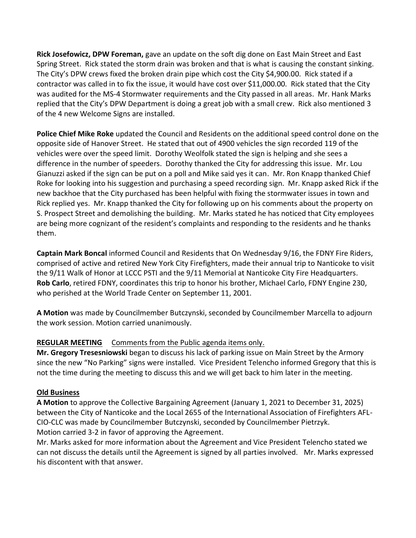**Rick Josefowicz, DPW Foreman,** gave an update on the soft dig done on East Main Street and East Spring Street. Rick stated the storm drain was broken and that is what is causing the constant sinking. The City's DPW crews fixed the broken drain pipe which cost the City \$4,900.00. Rick stated if a contractor was called in to fix the issue, it would have cost over \$11,000.00. Rick stated that the City was audited for the MS-4 Stormwater requirements and the City passed in all areas. Mr. Hank Marks replied that the City's DPW Department is doing a great job with a small crew. Rick also mentioned 3 of the 4 new Welcome Signs are installed.

**Police Chief Mike Roke** updated the Council and Residents on the additional speed control done on the opposite side of Hanover Street. He stated that out of 4900 vehicles the sign recorded 119 of the vehicles were over the speed limit. Dorothy Weolfolk stated the sign is helping and she sees a difference in the number of speeders. Dorothy thanked the City for addressing this issue. Mr. Lou Gianuzzi asked if the sign can be put on a poll and Mike said yes it can. Mr. Ron Knapp thanked Chief Roke for looking into his suggestion and purchasing a speed recording sign. Mr. Knapp asked Rick if the new backhoe that the City purchased has been helpful with fixing the stormwater issues in town and Rick replied yes. Mr. Knapp thanked the City for following up on his comments about the property on S. Prospect Street and demolishing the building. Mr. Marks stated he has noticed that City employees are being more cognizant of the resident's complaints and responding to the residents and he thanks them.

**Captain Mark Boncal** informed Council and Residents that On Wednesday 9/16, the FDNY Fire Riders, comprised of active and retired New York City Firefighters, made their annual trip to Nanticoke to visit the 9/11 Walk of Honor at LCCC PSTI and the 9/11 Memorial at Nanticoke City Fire Headquarters. **Rob [Carlo](https://www.facebook.com/robert.carlo.714?__cft__%5b0%5d=AZV64vEITl4VJARp2baUWt56Q0ClkMSUaMiY9gk5avAEyYYgeLzoRrviX8rY7wbOGKOjkCFFct_rn1PXdXWa4PW7sY6pQzdT-xSuymn0i1BdMQhKGBhUL4f8usG4QqhSoogCkiaYcPeKCd3Din-xYfaNCdH6y5Waz9Mg-sCCstsVeQ&__tn__=-%5dK-R)**, retired FDNY, coordinates this trip to honor his brother, Michael Carlo, FDNY Engine 230, who perished at the World Trade Center on September 11, 2001.

**A Motion** was made by Councilmember Butczynski, seconded by Councilmember Marcella to adjourn the work session. Motion carried unanimously.

## **REGULAR MEETING** Comments from the Public agenda items only.

**Mr. Gregory Tresesniowski** began to discuss his lack of parking issue on Main Street by the Armory since the new "No Parking" signs were installed. Vice President Telencho informed Gregory that this is not the time during the meeting to discuss this and we will get back to him later in the meeting.

# **Old Business**

**A Motion** to approve the Collective Bargaining Agreement (January 1, 2021 to December 31, 2025) between the City of Nanticoke and the Local 2655 of the International Association of Firefighters AFL-CIO-CLC was made by Councilmember Butczynski, seconded by Councilmember Pietrzyk. Motion carried 3-2 in favor of approving the Agreement.

Mr. Marks asked for more information about the Agreement and Vice President Telencho stated we can not discuss the details until the Agreement is signed by all parties involved. Mr. Marks expressed his discontent with that answer.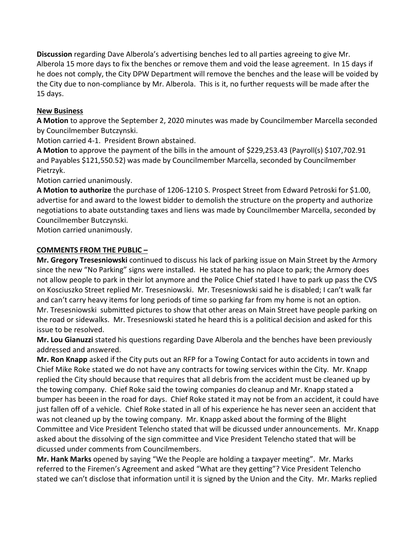**Discussion** regarding Dave Alberola's advertising benches led to all parties agreeing to give Mr. Alberola 15 more days to fix the benches or remove them and void the lease agreement. In 15 days if he does not comply, the City DPW Department will remove the benches and the lease will be voided by the City due to non-compliance by Mr. Alberola. This is it, no further requests will be made after the 15 days.

# **New Business**

**A Motion** to approve the September 2, 2020 minutes was made by Councilmember Marcella seconded by Councilmember Butczynski.

Motion carried 4-1. President Brown abstained.

**A Motion** to approve the payment of the bills in the amount of \$229,253.43 (Payroll(s) \$107,702.91 and Payables \$121,550.52) was made by Councilmember Marcella, seconded by Councilmember Pietrzyk.

Motion carried unanimously.

**A Motion to authorize** the purchase of 1206-1210 S. Prospect Street from Edward Petroski for \$1.00, advertise for and award to the lowest bidder to demolish the structure on the property and authorize negotiations to abate outstanding taxes and liens was made by Councilmember Marcella, seconded by Councilmember Butczynski.

Motion carried unanimously.

# **COMMENTS FROM THE PUBLIC –**

**Mr. Gregory Tresesniowski** continued to discuss his lack of parking issue on Main Street by the Armory since the new "No Parking" signs were installed. He stated he has no place to park; the Armory does not allow people to park in their lot anymore and the Police Chief stated I have to park up pass the CVS on Kosciuszko Street replied Mr. Tresesniowski. Mr. Tresesniowski said he is disabled; I can't walk far and can't carry heavy items for long periods of time so parking far from my home is not an option. Mr. Tresesniowski submitted pictures to show that other areas on Main Street have people parking on the road or sidewalks. Mr. Tresesniowski stated he heard this is a political decision and asked for this issue to be resolved.

**Mr. Lou Gianuzzi** stated his questions regarding Dave Alberola and the benches have been previously addressed and answered.

**Mr. Ron Knapp** asked if the City puts out an RFP for a Towing Contact for auto accidents in town and Chief Mike Roke stated we do not have any contracts for towing services within the City. Mr. Knapp replied the City should because that requires that all debris from the accident must be cleaned up by the towing company. Chief Roke said the towing companies do cleanup and Mr. Knapp stated a bumper has beeen in the road for days. Chief Roke stated it may not be from an accident, it could have just fallen off of a vehicle. Chief Roke stated in all of his experience he has never seen an accident that was not cleaned up by the towing company. Mr. Knapp asked about the forming of the Blight Committee and Vice President Telencho stated that will be dicussed under announcements. Mr. Knapp asked about the dissolving of the sign committee and Vice President Telencho stated that will be dicussed under comments from Councilmembers.

**Mr. Hank Marks** opened by saying "We the People are holding a taxpayer meeting". Mr. Marks referred to the Firemen's Agreement and asked "What are they getting"? Vice President Telencho stated we can't disclose that information until it is signed by the Union and the City. Mr. Marks replied